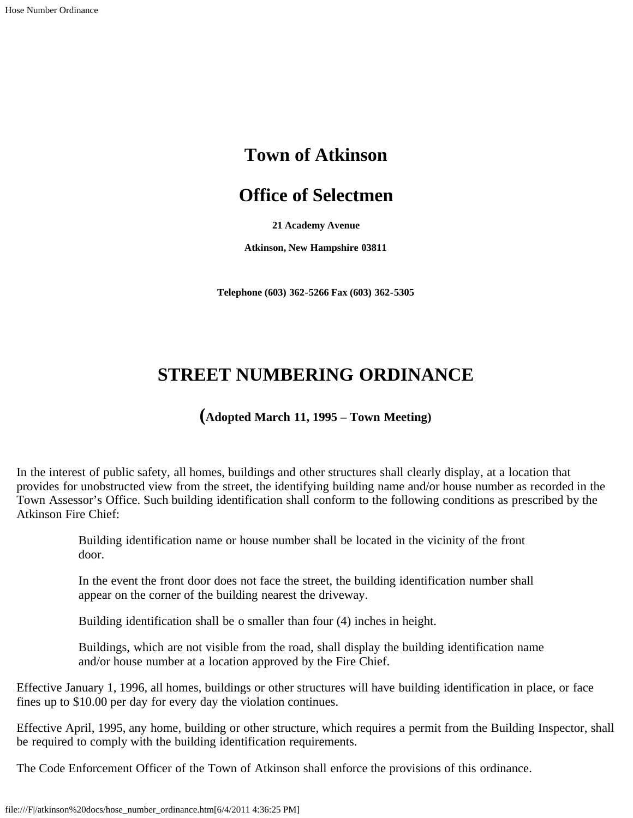## **Town of Atkinson**

## **Office of Selectmen**

**21 Academy Avenue**

**Atkinson, New Hampshire 03811**

**Telephone (603) 362-5266 Fax (603) 362-5305**

## **STREET NUMBERING ORDINANCE**

## **(Adopted March 11, 1995 – Town Meeting)**

In the interest of public safety, all homes, buildings and other structures shall clearly display, at a location that provides for unobstructed view from the street, the identifying building name and/or house number as recorded in the Town Assessor's Office. Such building identification shall conform to the following conditions as prescribed by the Atkinson Fire Chief:

> Building identification name or house number shall be located in the vicinity of the front door.

In the event the front door does not face the street, the building identification number shall appear on the corner of the building nearest the driveway.

Building identification shall be o smaller than four (4) inches in height.

Buildings, which are not visible from the road, shall display the building identification name and/or house number at a location approved by the Fire Chief.

Effective January 1, 1996, all homes, buildings or other structures will have building identification in place, or face fines up to \$10.00 per day for every day the violation continues.

Effective April, 1995, any home, building or other structure, which requires a permit from the Building Inspector, shall be required to comply with the building identification requirements.

The Code Enforcement Officer of the Town of Atkinson shall enforce the provisions of this ordinance.